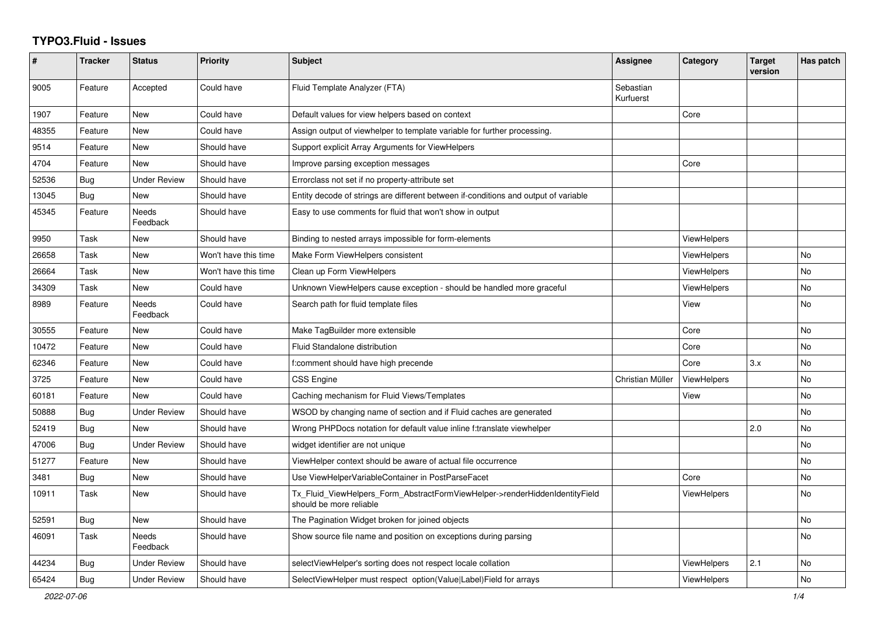## **TYPO3.Fluid - Issues**

| #     | <b>Tracker</b> | <b>Status</b>       | <b>Priority</b>      | <b>Subject</b>                                                                                         | Assignee               | Category           | <b>Target</b><br>version | Has patch |
|-------|----------------|---------------------|----------------------|--------------------------------------------------------------------------------------------------------|------------------------|--------------------|--------------------------|-----------|
| 9005  | Feature        | Accepted            | Could have           | Fluid Template Analyzer (FTA)                                                                          | Sebastian<br>Kurfuerst |                    |                          |           |
| 1907  | Feature        | <b>New</b>          | Could have           | Default values for view helpers based on context                                                       |                        | Core               |                          |           |
| 48355 | Feature        | <b>New</b>          | Could have           | Assign output of viewhelper to template variable for further processing.                               |                        |                    |                          |           |
| 9514  | Feature        | New                 | Should have          | Support explicit Array Arguments for ViewHelpers                                                       |                        |                    |                          |           |
| 4704  | Feature        | New                 | Should have          | Improve parsing exception messages                                                                     |                        | Core               |                          |           |
| 52536 | Bug            | <b>Under Review</b> | Should have          | Errorclass not set if no property-attribute set                                                        |                        |                    |                          |           |
| 13045 | Bug            | <b>New</b>          | Should have          | Entity decode of strings are different between if-conditions and output of variable                    |                        |                    |                          |           |
| 45345 | Feature        | Needs<br>Feedback   | Should have          | Easy to use comments for fluid that won't show in output                                               |                        |                    |                          |           |
| 9950  | Task           | New                 | Should have          | Binding to nested arrays impossible for form-elements                                                  |                        | <b>ViewHelpers</b> |                          |           |
| 26658 | Task           | New                 | Won't have this time | Make Form ViewHelpers consistent                                                                       |                        | <b>ViewHelpers</b> |                          | <b>No</b> |
| 26664 | Task           | New                 | Won't have this time | Clean up Form ViewHelpers                                                                              |                        | ViewHelpers        |                          | No        |
| 34309 | Task           | New                 | Could have           | Unknown ViewHelpers cause exception - should be handled more graceful                                  |                        | ViewHelpers        |                          | No        |
| 8989  | Feature        | Needs<br>Feedback   | Could have           | Search path for fluid template files                                                                   |                        | View               |                          | <b>No</b> |
| 30555 | Feature        | New                 | Could have           | Make TagBuilder more extensible                                                                        |                        | Core               |                          | No        |
| 10472 | Feature        | New                 | Could have           | <b>Fluid Standalone distribution</b>                                                                   |                        | Core               |                          | No        |
| 62346 | Feature        | <b>New</b>          | Could have           | f:comment should have high precende                                                                    |                        | Core               | 3.x                      | No        |
| 3725  | Feature        | <b>New</b>          | Could have           | <b>CSS Engine</b>                                                                                      | Christian Müller       | ViewHelpers        |                          | <b>No</b> |
| 60181 | Feature        | New                 | Could have           | Caching mechanism for Fluid Views/Templates                                                            |                        | View               |                          | <b>No</b> |
| 50888 | Bug            | <b>Under Review</b> | Should have          | WSOD by changing name of section and if Fluid caches are generated                                     |                        |                    |                          | <b>No</b> |
| 52419 | Bug            | <b>New</b>          | Should have          | Wrong PHPDocs notation for default value inline f:translate viewhelper                                 |                        |                    | 2.0                      | <b>No</b> |
| 47006 | Bug            | <b>Under Review</b> | Should have          | widget identifier are not unique                                                                       |                        |                    |                          | <b>No</b> |
| 51277 | Feature        | New                 | Should have          | ViewHelper context should be aware of actual file occurrence                                           |                        |                    |                          | No        |
| 3481  | Bug            | <b>New</b>          | Should have          | Use ViewHelperVariableContainer in PostParseFacet                                                      |                        | Core               |                          | No        |
| 10911 | Task           | <b>New</b>          | Should have          | Tx Fluid ViewHelpers Form AbstractFormViewHelper->renderHiddenIdentityField<br>should be more reliable |                        | <b>ViewHelpers</b> |                          | <b>No</b> |
| 52591 | <b>Bug</b>     | <b>New</b>          | Should have          | The Pagination Widget broken for joined objects                                                        |                        |                    |                          | No        |
| 46091 | Task           | Needs<br>Feedback   | Should have          | Show source file name and position on exceptions during parsing                                        |                        |                    |                          | <b>No</b> |
| 44234 | Bug            | Under Review        | Should have          | selectViewHelper's sorting does not respect locale collation                                           |                        | ViewHelpers        | 2.1                      | <b>No</b> |
| 65424 | Bug            | <b>Under Review</b> | Should have          | SelectViewHelper must respect option(Value Label)Field for arrays                                      |                        | ViewHelpers        |                          | <b>No</b> |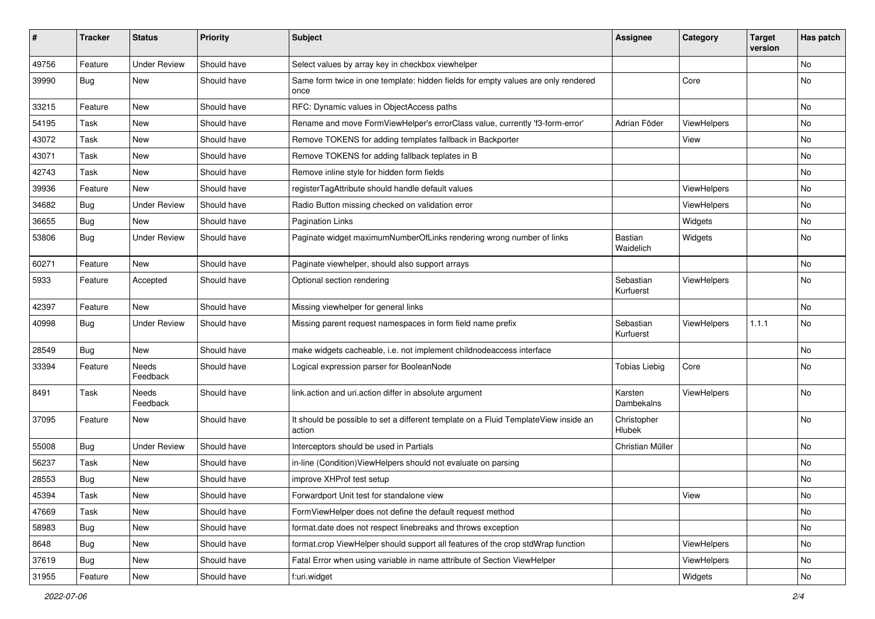| #     | <b>Tracker</b> | <b>Status</b>       | <b>Priority</b> | Subject                                                                                       | <b>Assignee</b>             | Category           | <b>Target</b><br>version | Has patch |
|-------|----------------|---------------------|-----------------|-----------------------------------------------------------------------------------------------|-----------------------------|--------------------|--------------------------|-----------|
| 49756 | Feature        | <b>Under Review</b> | Should have     | Select values by array key in checkbox viewhelper                                             |                             |                    |                          | No        |
| 39990 | Bug            | New                 | Should have     | Same form twice in one template: hidden fields for empty values are only rendered<br>once     |                             | Core               |                          | No        |
| 33215 | Feature        | New                 | Should have     | RFC: Dynamic values in ObjectAccess paths                                                     |                             |                    |                          | No        |
| 54195 | Task           | New                 | Should have     | Rename and move FormViewHelper's errorClass value, currently 'f3-form-error'                  | Adrian Föder                | ViewHelpers        |                          | No        |
| 43072 | Task           | New                 | Should have     | Remove TOKENS for adding templates fallback in Backporter                                     |                             | View               |                          | No        |
| 43071 | Task           | New                 | Should have     | Remove TOKENS for adding fallback teplates in B                                               |                             |                    |                          | No        |
| 42743 | Task           | New                 | Should have     | Remove inline style for hidden form fields                                                    |                             |                    |                          | No        |
| 39936 | Feature        | New                 | Should have     | registerTagAttribute should handle default values                                             |                             | ViewHelpers        |                          | No        |
| 34682 | Bug            | Under Review        | Should have     | Radio Button missing checked on validation error                                              |                             | ViewHelpers        |                          | No        |
| 36655 | Bug            | New                 | Should have     | <b>Pagination Links</b>                                                                       |                             | Widgets            |                          | No        |
| 53806 | Bug            | <b>Under Review</b> | Should have     | Paginate widget maximumNumberOfLinks rendering wrong number of links                          | <b>Bastian</b><br>Waidelich | Widgets            |                          | No        |
| 60271 | Feature        | <b>New</b>          | Should have     | Paginate viewhelper, should also support arrays                                               |                             |                    |                          | No        |
| 5933  | Feature        | Accepted            | Should have     | Optional section rendering                                                                    | Sebastian<br>Kurfuerst      | ViewHelpers        |                          | No        |
| 42397 | Feature        | New                 | Should have     | Missing viewhelper for general links                                                          |                             |                    |                          | No        |
| 40998 | Bug            | Under Review        | Should have     | Missing parent request namespaces in form field name prefix                                   | Sebastian<br>Kurfuerst      | <b>ViewHelpers</b> | 1.1.1                    | No        |
| 28549 | <b>Bug</b>     | New                 | Should have     | make widgets cacheable, i.e. not implement childnodeaccess interface                          |                             |                    |                          | No        |
| 33394 | Feature        | Needs<br>Feedback   | Should have     | Logical expression parser for BooleanNode                                                     | <b>Tobias Liebig</b>        | Core               |                          | No        |
| 8491  | Task           | Needs<br>Feedback   | Should have     | link.action and uri.action differ in absolute argument                                        | Karsten<br>Dambekalns       | ViewHelpers        |                          | No        |
| 37095 | Feature        | New                 | Should have     | It should be possible to set a different template on a Fluid TemplateView inside an<br>action | Christopher<br>Hlubek       |                    |                          | No        |
| 55008 | Bug            | <b>Under Review</b> | Should have     | Interceptors should be used in Partials                                                       | Christian Müller            |                    |                          | No        |
| 56237 | Task           | New                 | Should have     | in-line (Condition) View Helpers should not evaluate on parsing                               |                             |                    |                          | No        |
| 28553 | Bug            | New                 | Should have     | improve XHProf test setup                                                                     |                             |                    |                          | No        |
| 45394 | Task           | New                 | Should have     | Forwardport Unit test for standalone view                                                     |                             | View               |                          | No        |
| 47669 | Task           | New                 | Should have     | FormViewHelper does not define the default request method                                     |                             |                    |                          | No        |
| 58983 | Bug            | New                 | Should have     | format.date does not respect linebreaks and throws exception                                  |                             |                    |                          | No        |
| 8648  | Bug            | New                 | Should have     | format.crop ViewHelper should support all features of the crop stdWrap function               |                             | ViewHelpers        |                          | No        |
| 37619 | Bug            | New                 | Should have     | Fatal Error when using variable in name attribute of Section ViewHelper                       |                             | ViewHelpers        |                          | No        |
| 31955 | Feature        | New                 | Should have     | f:uri.widget                                                                                  |                             | Widgets            |                          | No        |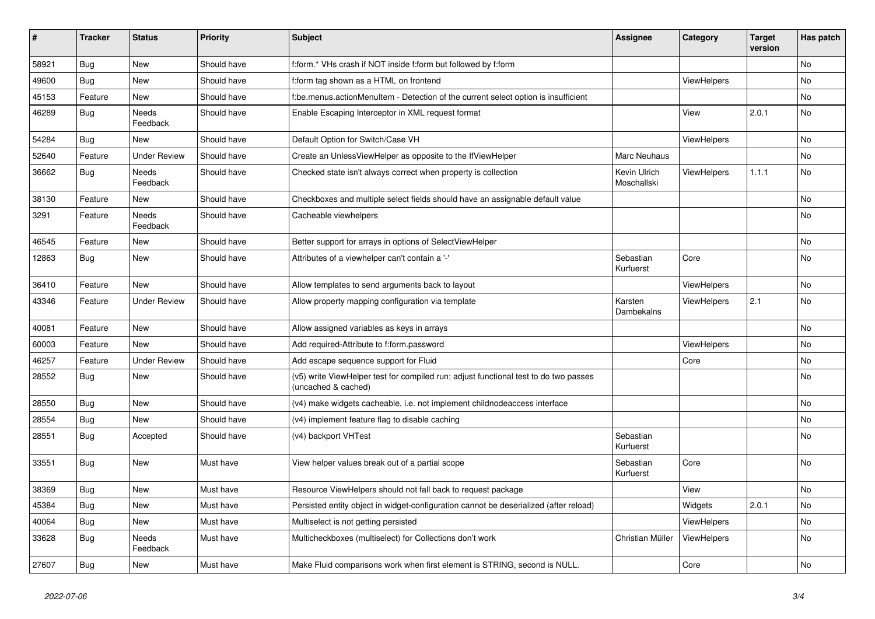| #     | <b>Tracker</b> | <b>Status</b>            | <b>Priority</b> | <b>Subject</b>                                                                                              | Assignee                    | Category           | <b>Target</b><br>version | Has patch |
|-------|----------------|--------------------------|-----------------|-------------------------------------------------------------------------------------------------------------|-----------------------------|--------------------|--------------------------|-----------|
| 58921 | <b>Bug</b>     | <b>New</b>               | Should have     | f:form.* VHs crash if NOT inside f:form but followed by f:form                                              |                             |                    |                          | <b>No</b> |
| 49600 | Bug            | <b>New</b>               | Should have     | f:form tag shown as a HTML on frontend                                                                      |                             | <b>ViewHelpers</b> |                          | No        |
| 45153 | Feature        | <b>New</b>               | Should have     | f:be.menus.actionMenuItem - Detection of the current select option is insufficient                          |                             |                    |                          | No        |
| 46289 | Bug            | <b>Needs</b><br>Feedback | Should have     | Enable Escaping Interceptor in XML request format                                                           |                             | View               | 2.0.1                    | No        |
| 54284 | Bug            | <b>New</b>               | Should have     | Default Option for Switch/Case VH                                                                           |                             | <b>ViewHelpers</b> |                          | No        |
| 52640 | Feature        | <b>Under Review</b>      | Should have     | Create an UnlessViewHelper as opposite to the IfViewHelper                                                  | Marc Neuhaus                |                    |                          | No        |
| 36662 | Bug            | <b>Needs</b><br>Feedback | Should have     | Checked state isn't always correct when property is collection                                              | Kevin Ulrich<br>Moschallski | ViewHelpers        | 1.1.1                    | No        |
| 38130 | Feature        | New                      | Should have     | Checkboxes and multiple select fields should have an assignable default value                               |                             |                    |                          | No        |
| 3291  | Feature        | <b>Needs</b><br>Feedback | Should have     | Cacheable viewhelpers                                                                                       |                             |                    |                          | <b>No</b> |
| 46545 | Feature        | <b>New</b>               | Should have     | Better support for arrays in options of SelectViewHelper                                                    |                             |                    |                          | No        |
| 12863 | Bug            | <b>New</b>               | Should have     | Attributes of a viewhelper can't contain a '-'                                                              | Sebastian<br>Kurfuerst      | Core               |                          | <b>No</b> |
| 36410 | Feature        | New                      | Should have     | Allow templates to send arguments back to layout                                                            |                             | ViewHelpers        |                          | No        |
| 43346 | Feature        | <b>Under Review</b>      | Should have     | Allow property mapping configuration via template                                                           | Karsten<br>Dambekalns       | ViewHelpers        | 2.1                      | No        |
| 40081 | Feature        | <b>New</b>               | Should have     | Allow assigned variables as keys in arrays                                                                  |                             |                    |                          | No        |
| 60003 | Feature        | <b>New</b>               | Should have     | Add required-Attribute to f:form.password                                                                   |                             | ViewHelpers        |                          | No        |
| 46257 | Feature        | <b>Under Review</b>      | Should have     | Add escape sequence support for Fluid                                                                       |                             | Core               |                          | No        |
| 28552 | Bug            | New                      | Should have     | (v5) write ViewHelper test for compiled run; adjust functional test to do two passes<br>(uncached & cached) |                             |                    |                          | No        |
| 28550 | Bug            | New                      | Should have     | (v4) make widgets cacheable, i.e. not implement childnodeaccess interface                                   |                             |                    |                          | No        |
| 28554 | Bug            | <b>New</b>               | Should have     | (v4) implement feature flag to disable caching                                                              |                             |                    |                          | No        |
| 28551 | <b>Bug</b>     | Accepted                 | Should have     | (v4) backport VHTest                                                                                        | Sebastian<br>Kurfuerst      |                    |                          | No        |
| 33551 | Bug            | New                      | Must have       | View helper values break out of a partial scope                                                             | Sebastian<br>Kurfuerst      | Core               |                          | No        |
| 38369 | Bug            | New                      | Must have       | Resource ViewHelpers should not fall back to request package                                                |                             | View               |                          | No        |
| 45384 | Bug            | New                      | Must have       | Persisted entity object in widget-configuration cannot be deserialized (after reload)                       |                             | Widgets            | 2.0.1                    | No        |
| 40064 | <b>Bug</b>     | <b>New</b>               | Must have       | Multiselect is not getting persisted                                                                        |                             | ViewHelpers        |                          | No        |
| 33628 | <b>Bug</b>     | Needs<br>Feedback        | Must have       | Multicheckboxes (multiselect) for Collections don't work                                                    | Christian Müller            | ViewHelpers        |                          | No        |
| 27607 | Bug            | New                      | Must have       | Make Fluid comparisons work when first element is STRING, second is NULL.                                   |                             | Core               |                          | No        |